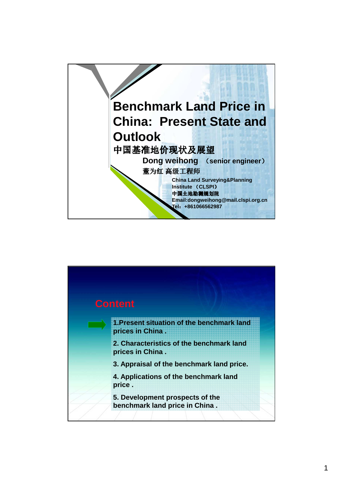

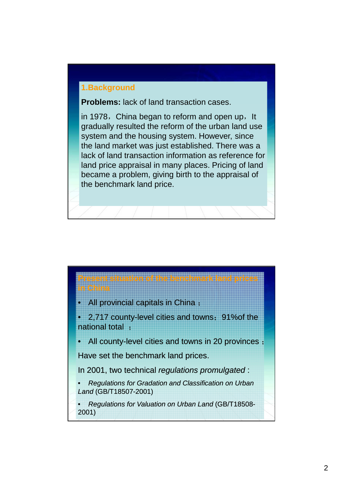### **1.Background**

**Problems:** lack of land transaction cases.

in 1978, China began to reform and open up, It gradually resulted the reform of the urban land use system and the housing system. However, since the land market was just established. There was a lack of land transaction information as reference for land price appraisal in many places. Pricing of land became a problem, giving birth to the appraisal of the benchmark land price.



**in China**

• 2,717 county-level cities and towns;91%of the national total ;

**Present situation of the benchmark land prices** 

• All county-level cities and towns in 20 provinces ;

Have set the benchmark land prices.

In 2001, two technical regulations promulgated :

• Regulations for Gradation and Classification on Urban Land (GB/T18507-2001)

• Regulations for Valuation on Urban Land (GB/T18508- 2001)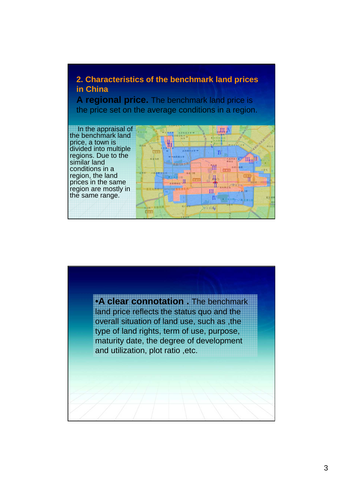## **2. Characteristics of the benchmark land prices in China**

**A regional price.** The benchmark land price is the price set on the average conditions in a region.





•**A clear connotation .** The benchmark land price reflects the status quo and the overall situation of land use, such as ,the type of land rights, term of use, purpose, maturity date, the degree of development and utilization, plot ratio ,etc.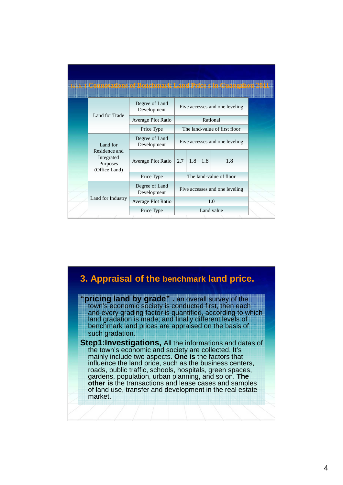|                                                                      | : 1 Connetations of Benchmark Land Price sin Guangzhon 201 |                                |     |     |     |  |
|----------------------------------------------------------------------|------------------------------------------------------------|--------------------------------|-----|-----|-----|--|
|                                                                      | Degree of Land<br>Development                              | Five accesses and one leveling |     |     |     |  |
| Land for Trade                                                       | Average Plot Ratio                                         | Rational                       |     |     |     |  |
|                                                                      | Price Type                                                 | The land-value of first floor  |     |     |     |  |
| Land for<br>Residence and<br>Integrated<br>Purposes<br>(Office Land) | Degree of Land<br>Development                              | Five accesses and one leveling |     |     |     |  |
|                                                                      | Average Plot Ratio                                         | 2.7                            | 1.8 | 1.8 | 1.8 |  |
|                                                                      | Price Type                                                 | The land-value of floor        |     |     |     |  |
| Land for Industry                                                    | Degree of Land<br>Development                              | Five accesses and one leveling |     |     |     |  |
|                                                                      | <b>Average Plot Ratio</b>                                  | 1.0                            |     |     |     |  |
|                                                                      | Price Type                                                 | Land value                     |     |     |     |  |

## **3. Appraisal of the benchmark land price.**

**"pricing land by grade" .** an overall survey of the town's economic society is conducted first, then each and every grading factor is quantified, according to which land gradation is made; and finally different levels of benchmark land prices are appraised on the basis of such gradation.

**Step1: Investigations,** All the informations and datas of the town's economic and society are collected. It's mainly include two aspects. **One is** the factors that influence the land price, such as the business centers, roads, public traffic, schools, hospitals, green spaces, gardens, population, urban planning, and so on. **The other is** the transactions and lease cases and samples of land use, transfer and development in the real estate market.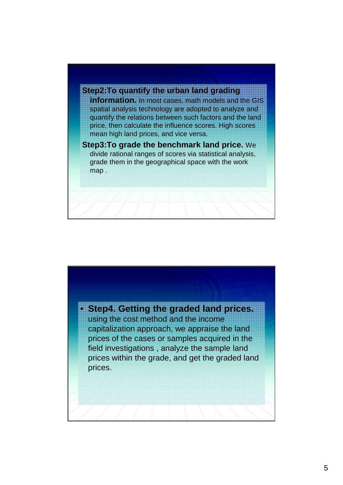

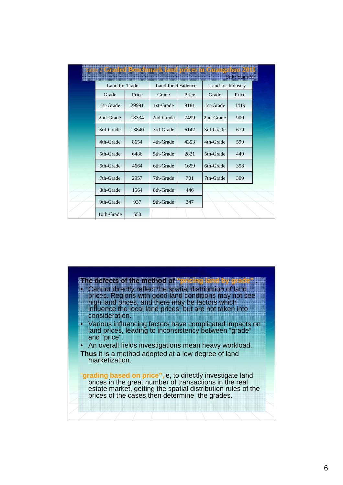| able : Graded Honchmark land prices in Grangzhor 2011 |       |                    |       |                   | Unit: Yuan/M |  |
|-------------------------------------------------------|-------|--------------------|-------|-------------------|--------------|--|
| Land for Trade                                        |       | Land for Residence |       | Land for Industry |              |  |
| Grade                                                 | Price | Grade              | Price | Grade             | Price        |  |
| 1st-Grade                                             | 29991 | 1st-Grade          | 9181  | 1st-Grade         | 1419         |  |
| 2nd-Grade                                             | 18334 | 2nd-Grade          | 7499  | 2nd-Grade         | 900          |  |
| 3rd-Grade                                             | 13840 | 3rd-Grade          | 6142  | 3rd-Grade         | 679          |  |
| 4th-Grade                                             | 8654  | 4th-Grade          | 4353  | 4th-Grade         | 599          |  |
| 5th-Grade                                             | 6486  | 5th-Grade          | 2821  | 5th-Grade         | 449          |  |
| 6th-Grade                                             | 4664  | 6th-Grade          | 1659  | 6th-Grade         | 358          |  |
| 7th-Grade                                             | 2957  | 7th-Grade          | 701   | 7th-Grade         | 309          |  |
| 8th-Grade                                             | 1564  | 8th-Grade          | 446   |                   |              |  |
| 9th-Grade                                             | 937   | 9th-Grade          | 347   |                   |              |  |
| 10th-Grade                                            | 550   |                    |       |                   |              |  |

#### **The defects of the method of "pricing land by grade" .**

- Cannot directly reflect the spatial distribution of land prices. Regions with good land conditions may not see high land prices, and there may be factors which influence the local land prices, but are not taken into consideration.
- Various influencing factors have complicated impacts on land prices, leading to inconsistency between "grade" and "price".
- An overall fields investigations mean heavy workload.
- **Thus** it is a method adopted at a low degree of land marketization.

"**grading based on price",**ie, to directly investigate land prices in the great number of transactions in the real estate market, getting the spatial distribution rules of the prices of the cases,then determine the grades.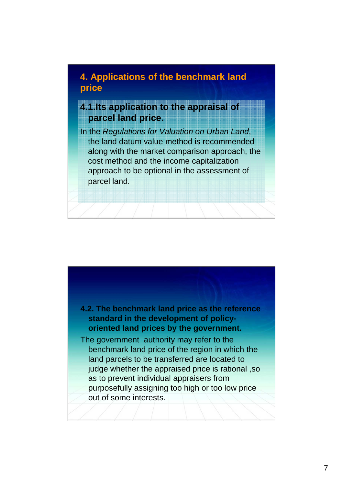# **4. Applications of the benchmark land price**

# **4.1.Its application to the appraisal of parcel land price.**

In the Regulations for Valuation on Urban Land, the land datum value method is recommended along with the market comparison approach, the cost method and the income capitalization approach to be optional in the assessment of parcel land.

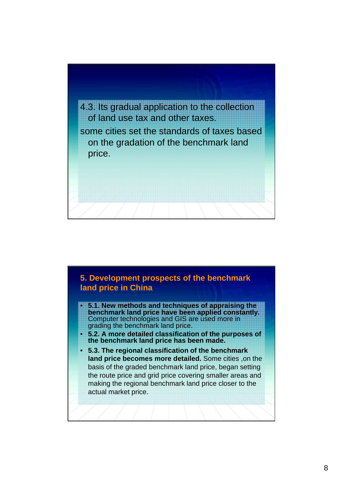

### **5. Development prospects of the benchmark land price in China**

- **5.1. New methods and techniques of appraising the benchmark land price have been applied constantly.**  Computer technologies and GIS are used more in grading the benchmark land price.
- **5.2. A more detailed classification of the purposes of the benchmark land price has been made.**
- **5.3. The regional classification of the benchmark land price becomes more detailed.** Some cities ,on the basis of the graded benchmark land price, began setting the route price and grid price covering smaller areas and making the regional benchmark land price closer to the actual market price.